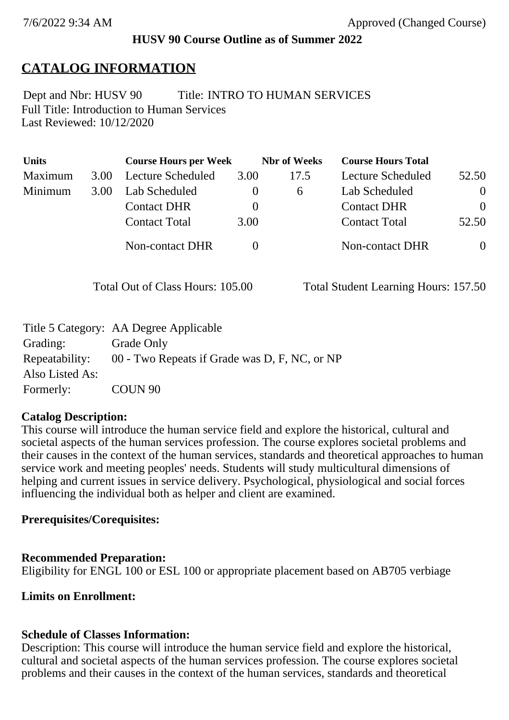## **HUSV 90 Course Outline as of Summer 2022**

# **CATALOG INFORMATION**

Full Title: Introduction to Human Services Last Reviewed: 10/12/2020 Dept and Nbr: HUSV 90 Title: INTRO TO HUMAN SERVICES

| <b>Units</b> |      | <b>Course Hours per Week</b> |          | <b>Nbr</b> of Weeks | <b>Course Hours Total</b> |                |
|--------------|------|------------------------------|----------|---------------------|---------------------------|----------------|
| Maximum      | 3.00 | <b>Lecture Scheduled</b>     | 3.00     | 17.5                | Lecture Scheduled         | 52.50          |
| Minimum      | 3.00 | Lab Scheduled                | $\theta$ | 6                   | Lab Scheduled             | $\theta$       |
|              |      | <b>Contact DHR</b>           | $\theta$ |                     | <b>Contact DHR</b>        | $\Omega$       |
|              |      | <b>Contact Total</b>         | 3.00     |                     | <b>Contact Total</b>      | 52.50          |
|              |      | Non-contact DHR              |          |                     | <b>Non-contact DHR</b>    | $\overline{0}$ |

Total Out of Class Hours: 105.00 Total Student Learning Hours: 157.50

|                 | Title 5 Category: AA Degree Applicable        |
|-----------------|-----------------------------------------------|
| Grading:        | Grade Only                                    |
| Repeatability:  | 00 - Two Repeats if Grade was D, F, NC, or NP |
| Also Listed As: |                                               |
| Formerly:       | COUN 90                                       |

### **Catalog Description:**

This course will introduce the human service field and explore the historical, cultural and societal aspects of the human services profession. The course explores societal problems and their causes in the context of the human services, standards and theoretical approaches to human service work and meeting peoples' needs. Students will study multicultural dimensions of helping and current issues in service delivery. Psychological, physiological and social forces influencing the individual both as helper and client are examined.

### **Prerequisites/Corequisites:**

### **Recommended Preparation:**

Eligibility for ENGL 100 or ESL 100 or appropriate placement based on AB705 verbiage

## **Limits on Enrollment:**

### **Schedule of Classes Information:**

Description: This course will introduce the human service field and explore the historical, cultural and societal aspects of the human services profession. The course explores societal problems and their causes in the context of the human services, standards and theoretical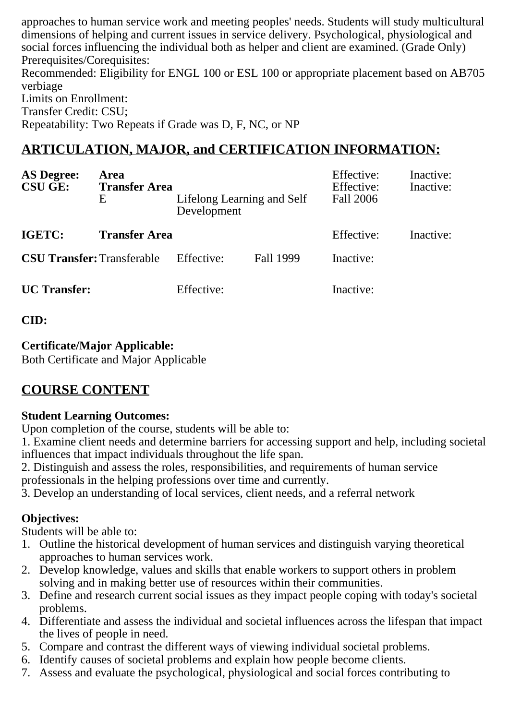approaches to human service work and meeting peoples' needs. Students will study multicultural dimensions of helping and current issues in service delivery. Psychological, physiological and social forces influencing the individual both as helper and client are examined. (Grade Only) Prerequisites/Corequisites:

Recommended: Eligibility for ENGL 100 or ESL 100 or appropriate placement based on AB705 verbiage Limits on Enrollment:

Transfer Credit: CSU;

Repeatability: Two Repeats if Grade was D, F, NC, or NP

# **ARTICULATION, MAJOR, and CERTIFICATION INFORMATION:**

| <b>AS Degree:</b><br><b>CSU GE:</b> | Area<br><b>Transfer Area</b><br>Ε | Lifelong Learning and Self<br>Development |           | Effective:<br>Effective:<br>Fall 2006 | Inactive:<br>Inactive: |
|-------------------------------------|-----------------------------------|-------------------------------------------|-----------|---------------------------------------|------------------------|
| IGETC:                              | <b>Transfer Area</b>              |                                           |           | Effective:                            | Inactive:              |
| <b>CSU Transfer: Transferable</b>   |                                   | Effective:                                | Fall 1999 | Inactive:                             |                        |
| <b>UC</b> Transfer:                 |                                   | Effective:                                |           | Inactive:                             |                        |

#### **CID:**

#### **Certificate/Major Applicable:**

[Both Certificate and Major Applicable](SR_ClassCheck.aspx?CourseKey=HUSV90)

# **COURSE CONTENT**

#### **Student Learning Outcomes:**

Upon completion of the course, students will be able to:

1. Examine client needs and determine barriers for accessing support and help, including societal influences that impact individuals throughout the life span.

2. Distinguish and assess the roles, responsibilities, and requirements of human service professionals in the helping professions over time and currently.

3. Develop an understanding of local services, client needs, and a referral network

### **Objectives:**

Students will be able to:

- 1. Outline the historical development of human services and distinguish varying theoretical approaches to human services work.
- 2. Develop knowledge, values and skills that enable workers to support others in problem solving and in making better use of resources within their communities.
- 3. Define and research current social issues as they impact people coping with today's societal problems.
- 4. Differentiate and assess the individual and societal influences across the lifespan that impact the lives of people in need.
- 5. Compare and contrast the different ways of viewing individual societal problems.
- 6. Identify causes of societal problems and explain how people become clients.
- 7. Assess and evaluate the psychological, physiological and social forces contributing to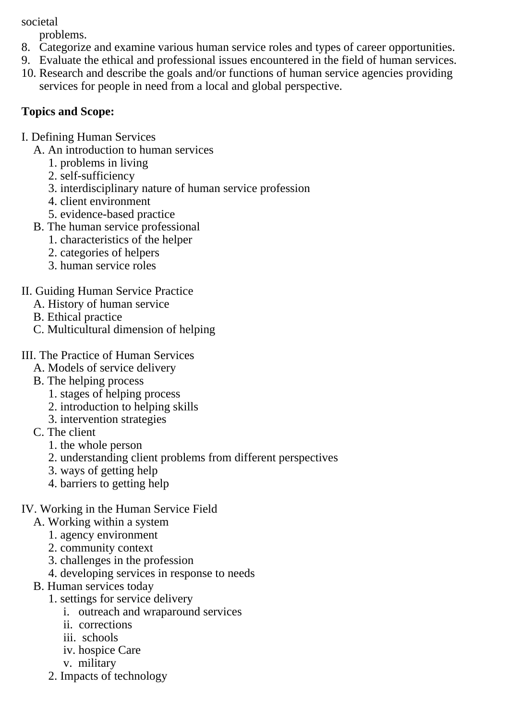societal

problems.

- 8. Categorize and examine various human service roles and types of career opportunities.
- 9. Evaluate the ethical and professional issues encountered in the field of human services.
- 10. Research and describe the goals and/or functions of human service agencies providing services for people in need from a local and global perspective.

## **Topics and Scope:**

- I. Defining Human Services
	- A. An introduction to human services
		- 1. problems in living
		- 2. self-sufficiency
		- 3. interdisciplinary nature of human service profession
		- 4. client environment
		- 5. evidence-based practice
	- B. The human service professional
		- 1. characteristics of the helper
		- 2. categories of helpers
		- 3. human service roles
- II. Guiding Human Service Practice
	- A. History of human service
	- B. Ethical practice
	- C. Multicultural dimension of helping
- III. The Practice of Human Services
	- A. Models of service delivery
	- B. The helping process
		- 1. stages of helping process
		- 2. introduction to helping skills
		- 3. intervention strategies
	- C. The client
		- 1. the whole person
		- 2. understanding client problems from different perspectives
		- 3. ways of getting help
		- 4. barriers to getting help
- IV. Working in the Human Service Field
	- A. Working within a system
		- 1. agency environment
		- 2. community context
		- 3. challenges in the profession
		- 4. developing services in response to needs
	- B. Human services today
		- 1. settings for service delivery
			- i. outreach and wraparound services
			- ii. corrections
			- iii. schools
			- iv. hospice Care
			- v. military
		- 2. Impacts of technology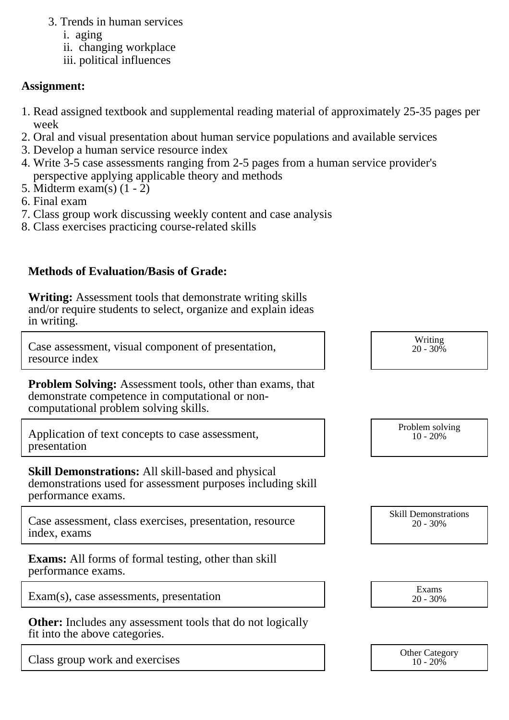- 3. Trends in human services
	- i. aging
	- ii. changing workplace
	- iii. political influences

#### **Assignment:**

- 1. Read assigned textbook and supplemental reading material of approximately 25-35 pages per week
- 2. Oral and visual presentation about human service populations and available services
- 3. Develop a human service resource index
- 4. Write 3-5 case assessments ranging from 2-5 pages from a human service provider's perspective applying applicable theory and methods
- 5. Midterm exam(s) (1 2)
- 6. Final exam
- 7. Class group work discussing weekly content and case analysis
- 8. Class exercises practicing course-related skills

#### **Methods of Evaluation/Basis of Grade:**

**Writing:** Assessment tools that demonstrate writing skills and/or require students to select, organize and explain ideas in writing.

Case assessment, visual component of presentation, resource index

**Problem Solving:** Assessment tools, other than exams, that demonstrate competence in computational or noncomputational problem solving skills.

Application of text concepts to case assessment, presentation

**Skill Demonstrations:** All skill-based and physical demonstrations used for assessment purposes including skill performance exams.

Case assessment, class exercises, presentation, resource index, exams

**Exams:** All forms of formal testing, other than skill performance exams.

Exam(s), case assessments, presentation  $\begin{array}{ccc}\n\text{Exam} \\
\text{Exam} \\
\text{20 - 30\%}\n\end{array}$ 

**Other:** Includes any assessment tools that do not logically fit into the above categories.

Class group work and exercises and the category of the Category of the Category of the Category of the Category

Writing  $20 - 30\%$ 

Problem solving 10 - 20%

Skill Demonstrations 20 - 30%

20 - 30%